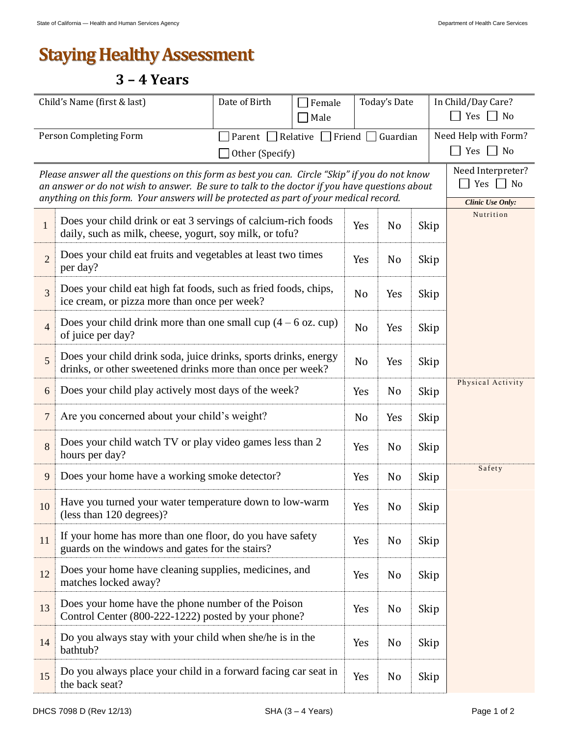## **Staying Healthy Assessment**

## **3 – 4 Years**

| Child's Name (first & last)                                                                                                                                                                                                                                                              |                                                                                                                               | Date of Birth                                                   | Female<br>Male |                | Today's Date   |                                       | In Child/Day Care?<br>$\Box$ Yes $\Box$ No |  |
|------------------------------------------------------------------------------------------------------------------------------------------------------------------------------------------------------------------------------------------------------------------------------------------|-------------------------------------------------------------------------------------------------------------------------------|-----------------------------------------------------------------|----------------|----------------|----------------|---------------------------------------|--------------------------------------------|--|
| Person Completing Form                                                                                                                                                                                                                                                                   |                                                                                                                               | Relative<br>Friend $\Box$ Guardian<br>Parent<br>Other (Specify) |                |                |                | Need Help with Form?<br>Yes $\Box$ No |                                            |  |
| Please answer all the questions on this form as best you can. Circle "Skip" if you do not know<br>an answer or do not wish to answer. Be sure to talk to the doctor if you have questions about<br>anything on this form. Your answers will be protected as part of your medical record. |                                                                                                                               |                                                                 |                |                |                |                                       | Need Interpreter?<br>Yes No                |  |
| $\mathbf{1}$                                                                                                                                                                                                                                                                             | Does your child drink or eat 3 servings of calcium-rich foods<br>daily, such as milk, cheese, yogurt, soy milk, or tofu?      |                                                                 | Yes            | N <sub>0</sub> | Skip           | Clinic Use Only:<br>Nutrition         |                                            |  |
| $\overline{2}$                                                                                                                                                                                                                                                                           | Does your child eat fruits and vegetables at least two times<br>per day?                                                      |                                                                 | Yes            | N <sub>0</sub> | Skip           |                                       |                                            |  |
| $\overline{3}$                                                                                                                                                                                                                                                                           | Does your child eat high fat foods, such as fried foods, chips,<br>ice cream, or pizza more than once per week?               |                                                                 | N <sub>0</sub> | Yes            | Skip           |                                       |                                            |  |
| $\overline{4}$                                                                                                                                                                                                                                                                           | Does your child drink more than one small cup $(4 - 6$ oz. cup)<br>of juice per day?                                          |                                                                 | N <sub>0</sub> | Yes            | Skip           |                                       |                                            |  |
| 5                                                                                                                                                                                                                                                                                        | Does your child drink soda, juice drinks, sports drinks, energy<br>drinks, or other sweetened drinks more than once per week? |                                                                 | N <sub>0</sub> | Yes            | Skip           |                                       |                                            |  |
| 6                                                                                                                                                                                                                                                                                        | Does your child play actively most days of the week?                                                                          |                                                                 |                |                | N <sub>o</sub> | Skip                                  | Physical Activity                          |  |
| 7                                                                                                                                                                                                                                                                                        | Are you concerned about your child's weight?                                                                                  |                                                                 |                |                | Yes            | Skip                                  |                                            |  |
| 8                                                                                                                                                                                                                                                                                        | Does your child watch TV or play video games less than 2<br>hours per day?                                                    |                                                                 | Yes            | N <sub>0</sub> | Skip           |                                       |                                            |  |
| 9                                                                                                                                                                                                                                                                                        | Does your home have a working smoke detector?                                                                                 |                                                                 |                |                | No             | Skip                                  | Safety                                     |  |
| 10                                                                                                                                                                                                                                                                                       | Have you turned your water temperature down to low-warm<br>(less than 120 degrees)?                                           |                                                                 |                |                | No             | Skip                                  |                                            |  |
| 11                                                                                                                                                                                                                                                                                       | If your home has more than one floor, do you have safety<br>guards on the windows and gates for the stairs?                   |                                                                 |                |                | N <sub>0</sub> | Skip                                  |                                            |  |
| 12                                                                                                                                                                                                                                                                                       | Does your home have cleaning supplies, medicines, and<br>matches locked away?                                                 |                                                                 |                |                | No             | Skip                                  |                                            |  |
| 13                                                                                                                                                                                                                                                                                       | Does your home have the phone number of the Poison<br>Control Center (800-222-1222) posted by your phone?                     |                                                                 |                |                | N <sub>o</sub> | Skip                                  |                                            |  |
| 14                                                                                                                                                                                                                                                                                       | Do you always stay with your child when she/he is in the<br>bathtub?                                                          |                                                                 | Yes            | No             | Skip           |                                       |                                            |  |
| 15                                                                                                                                                                                                                                                                                       | Do you always place your child in a forward facing car seat in<br>the back seat?                                              |                                                                 | Yes            | No             | Skip           |                                       |                                            |  |